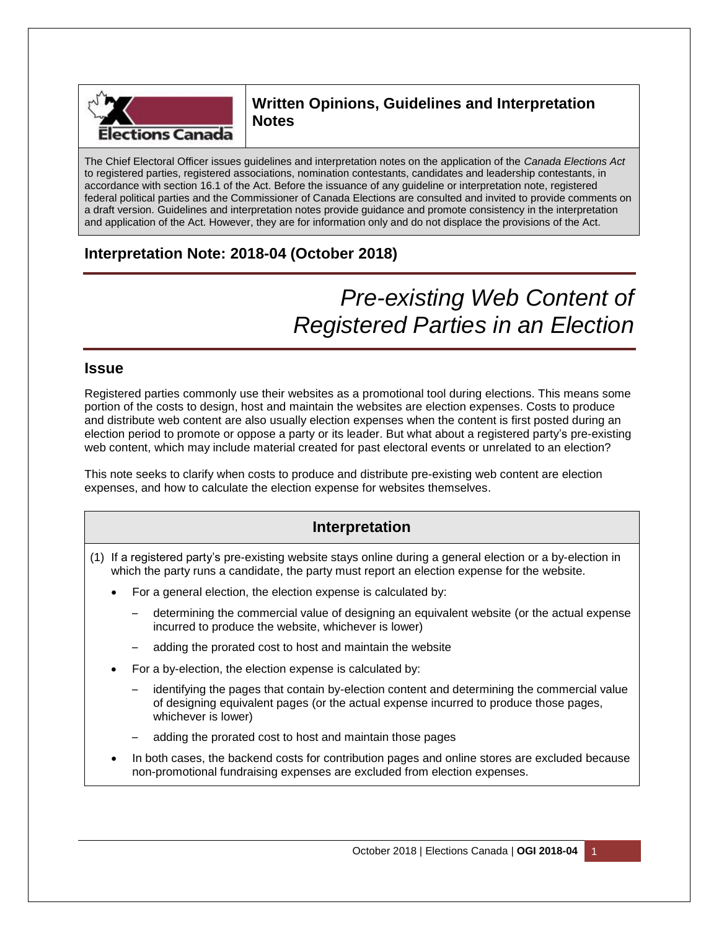

# **Written Opinions, Guidelines and Interpretation Notes**

The Chief Electoral Officer issues guidelines and interpretation notes on the application of the *Canada Elections Act* to registered parties, registered associations, nomination contestants, candidates and leadership contestants, in accordance with section 16.1 of the Act. Before the issuance of any guideline or interpretation note, registered federal political parties and the Commissioner of Canada Elections are consulted and invited to provide comments on a draft version. Guidelines and interpretation notes provide guidance and promote consistency in the interpretation and application of the Act. However, they are for information only and do not displace the provisions of the Act.

# **Interpretation Note: 2018-04 (October 2018)**

# *Pre-existing Web Content of Registered Parties in an Election*

# **Issue**

Registered parties commonly use their websites as a promotional tool during elections. This means some portion of the costs to design, host and maintain the websites are election expenses. Costs to produce and distribute web content are also usually election expenses when the content is first posted during an election period to promote or oppose a party or its leader. But what about a registered party's pre-existing web content, which may include material created for past electoral events or unrelated to an election?

This note seeks to clarify when costs to produce and distribute pre-existing web content are election expenses, and how to calculate the election expense for websites themselves.

# **Interpretation**

- (1) If a registered party's pre-existing website stays online during a general election or a by-election in which the party runs a candidate, the party must report an election expense for the website.
	- For a general election, the election expense is calculated by:
		- determining the commercial value of designing an equivalent website (or the actual expense incurred to produce the website, whichever is lower)
		- adding the prorated cost to host and maintain the website
	- For a by-election, the election expense is calculated by:
		- identifying the pages that contain by-election content and determining the commercial value of designing equivalent pages (or the actual expense incurred to produce those pages, whichever is lower)
		- adding the prorated cost to host and maintain those pages
	- In both cases, the backend costs for contribution pages and online stores are excluded because non-promotional fundraising expenses are excluded from election expenses.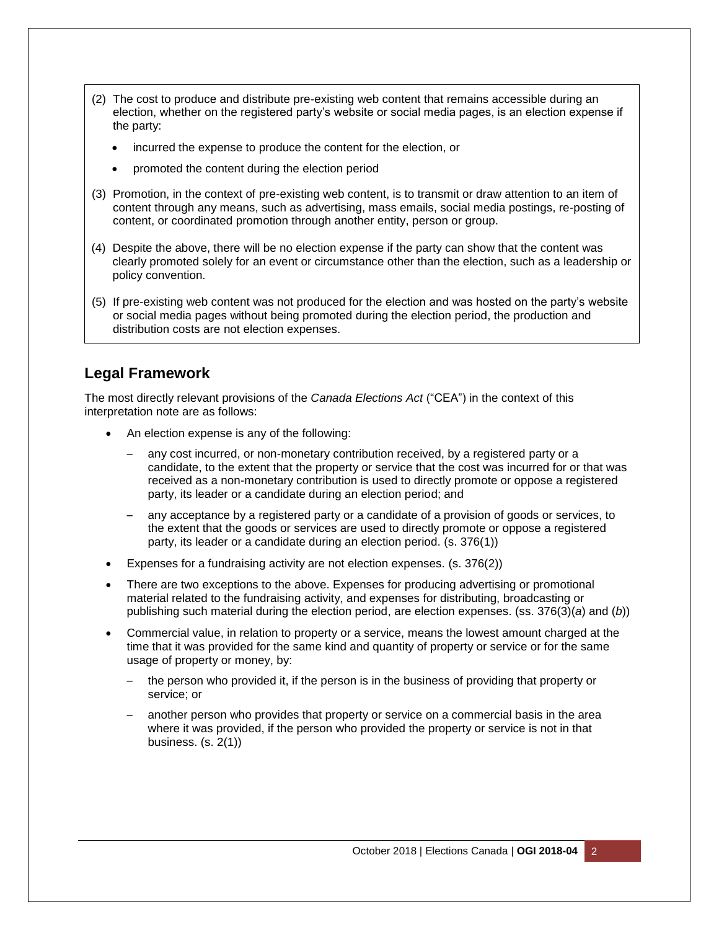- (2) The cost to produce and distribute pre-existing web content that remains accessible during an election, whether on the registered party's website or social media pages, is an election expense if the party:
	- incurred the expense to produce the content for the election, or
	- promoted the content during the election period
- (3) Promotion, in the context of pre-existing web content, is to transmit or draw attention to an item of content through any means, such as advertising, mass emails, social media postings, re-posting of content, or coordinated promotion through another entity, person or group.
- (4) Despite the above, there will be no election expense if the party can show that the content was clearly promoted solely for an event or circumstance other than the election, such as a leadership or policy convention.
- (5) If pre-existing web content was not produced for the election and was hosted on the party's website or social media pages without being promoted during the election period, the production and distribution costs are not election expenses.

# **Legal Framework**

The most directly relevant provisions of the *Canada Elections Act* ("CEA") in the context of this interpretation note are as follows:

- An election expense is any of the following:
	- any cost incurred, or non-monetary contribution received, by a registered party or a candidate, to the extent that the property or service that the cost was incurred for or that was received as a non-monetary contribution is used to directly promote or oppose a registered party, its leader or a candidate during an election period; and
	- any acceptance by a registered party or a candidate of a provision of goods or services, to the extent that the goods or services are used to directly promote or oppose a registered party, its leader or a candidate during an election period. (s. 376(1))
- Expenses for a fundraising activity are not election expenses. (s. 376(2))
- There are two exceptions to the above. Expenses for producing advertising or promotional material related to the fundraising activity, and expenses for distributing, broadcasting or publishing such material during the election period, are election expenses. (ss. 376(3)(*a*) and (*b*))
- Commercial value, in relation to property or a service, means the lowest amount charged at the time that it was provided for the same kind and quantity of property or service or for the same usage of property or money, by:
	- the person who provided it, if the person is in the business of providing that property or service; or
	- another person who provides that property or service on a commercial basis in the area where it was provided, if the person who provided the property or service is not in that business. (s. 2(1))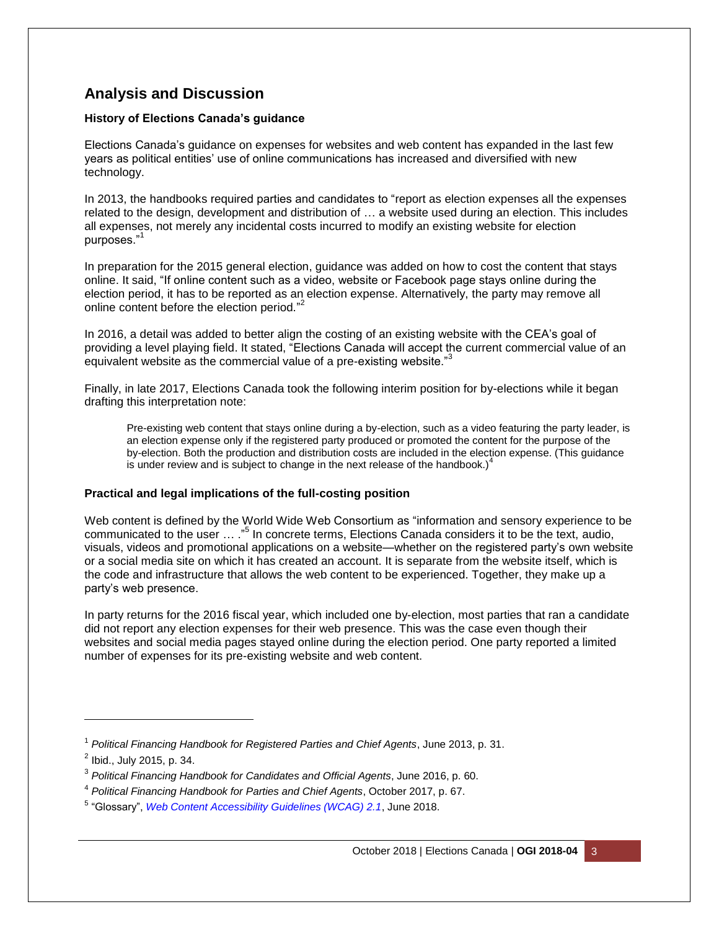# **Analysis and Discussion**

## **History of Elections Canada's guidance**

Elections Canada's guidance on expenses for websites and web content has expanded in the last few years as political entities' use of online communications has increased and diversified with new technology.

In 2013, the handbooks required parties and candidates to "report as election expenses all the expenses related to the design, development and distribution of … a website used during an election. This includes all expenses, not merely any incidental costs incurred to modify an existing website for election purposes."<sup>1</sup>

In preparation for the 2015 general election, guidance was added on how to cost the content that stays online. It said, "If online content such as a video, website or Facebook page stays online during the election period, it has to be reported as an election expense. Alternatively, the party may remove all online content before the election period."<sup>2</sup>

In 2016, a detail was added to better align the costing of an existing website with the CEA's goal of providing a level playing field. It stated, "Elections Canada will accept the current commercial value of an equivalent website as the commercial value of a pre-existing website."<sup>3</sup>

Finally, in late 2017, Elections Canada took the following interim position for by-elections while it began drafting this interpretation note:

Pre-existing web content that stays online during a by-election, such as a video featuring the party leader, is an election expense only if the registered party produced or promoted the content for the purpose of the by-election. Both the production and distribution costs are included in the election expense. (This guidance is under review and is subject to change in the next release of the handbook.) $<sup>4</sup>$ </sup>

## **Practical and legal implications of the full-costing position**

Web content is defined by the World Wide Web Consortium as "information and sensory experience to be communicated to the user ... ."<sup>5</sup> In concrete terms, Elections Canada considers it to be the text, audio, visuals, videos and promotional applications on a website—whether on the registered party's own website or a social media site on which it has created an account. It is separate from the website itself, which is the code and infrastructure that allows the web content to be experienced. Together, they make up a party's web presence.

In party returns for the 2016 fiscal year, which included one by-election, most parties that ran a candidate did not report any election expenses for their web presence. This was the case even though their websites and social media pages stayed online during the election period. One party reported a limited number of expenses for its pre-existing website and web content.

l

<sup>1</sup> *Political Financing Handbook for Registered Parties and Chief Agents*, June 2013, p. 31.

<sup>&</sup>lt;sup>2</sup> Ibid., July 2015, p. 34.

<sup>3</sup> *Political Financing Handbook for Candidates and Official Agents*, June 2016, p. 60.

<sup>4</sup> *Political Financing Handbook for Parties and Chief Agents*, October 2017, p. 67.

<sup>5</sup> "Glossary", *[Web Content Accessibility Guidelines \(WCAG\) 2.1](https://www.w3.org/TR/WCAG21/#glossary)*, June 2018.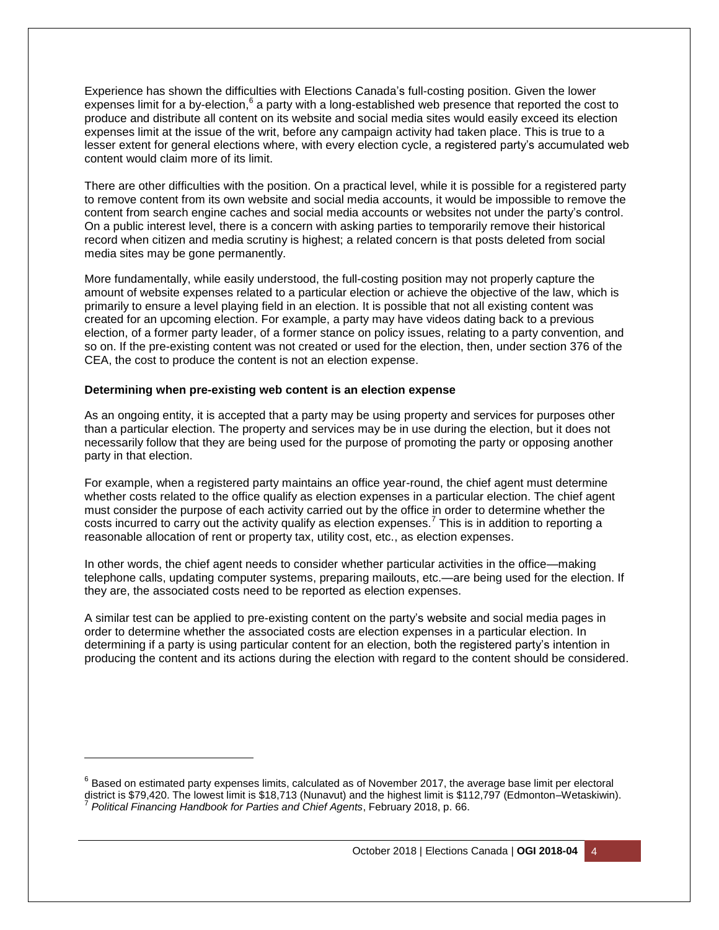Experience has shown the difficulties with Elections Canada's full-costing position. Given the lower expenses limit for a by-election,<sup>6</sup> a party with a long-established web presence that reported the cost to produce and distribute all content on its website and social media sites would easily exceed its election expenses limit at the issue of the writ, before any campaign activity had taken place. This is true to a lesser extent for general elections where, with every election cycle, a registered party's accumulated web content would claim more of its limit.

There are other difficulties with the position. On a practical level, while it is possible for a registered party to remove content from its own website and social media accounts, it would be impossible to remove the content from search engine caches and social media accounts or websites not under the party's control. On a public interest level, there is a concern with asking parties to temporarily remove their historical record when citizen and media scrutiny is highest; a related concern is that posts deleted from social media sites may be gone permanently.

More fundamentally, while easily understood, the full-costing position may not properly capture the amount of website expenses related to a particular election or achieve the objective of the law, which is primarily to ensure a level playing field in an election. It is possible that not all existing content was created for an upcoming election. For example, a party may have videos dating back to a previous election, of a former party leader, of a former stance on policy issues, relating to a party convention, and so on. If the pre-existing content was not created or used for the election, then, under section 376 of the CEA, the cost to produce the content is not an election expense.

#### **Determining when pre-existing web content is an election expense**

l

As an ongoing entity, it is accepted that a party may be using property and services for purposes other than a particular election. The property and services may be in use during the election, but it does not necessarily follow that they are being used for the purpose of promoting the party or opposing another party in that election.

For example, when a registered party maintains an office year-round, the chief agent must determine whether costs related to the office qualify as election expenses in a particular election. The chief agent must consider the purpose of each activity carried out by the office in order to determine whether the costs incurred to carry out the activity qualify as election expenses.<sup>7</sup> This is in addition to reporting a reasonable allocation of rent or property tax, utility cost, etc., as election expenses.

In other words, the chief agent needs to consider whether particular activities in the office—making telephone calls, updating computer systems, preparing mailouts, etc.—are being used for the election. If they are, the associated costs need to be reported as election expenses.

A similar test can be applied to pre-existing content on the party's website and social media pages in order to determine whether the associated costs are election expenses in a particular election. In determining if a party is using particular content for an election, both the registered party's intention in producing the content and its actions during the election with regard to the content should be considered.

 $^6$  Based on estimated party expenses limits, calculated as of November 2017, the average base limit per electoral district is \$79,420. The lowest limit is \$18,713 (Nunavut) and the highest limit is \$112,797 (Edmonton–Wetaskiwin). 7 *Political Financing Handbook for Parties and Chief Agents*, February 2018, p. 66.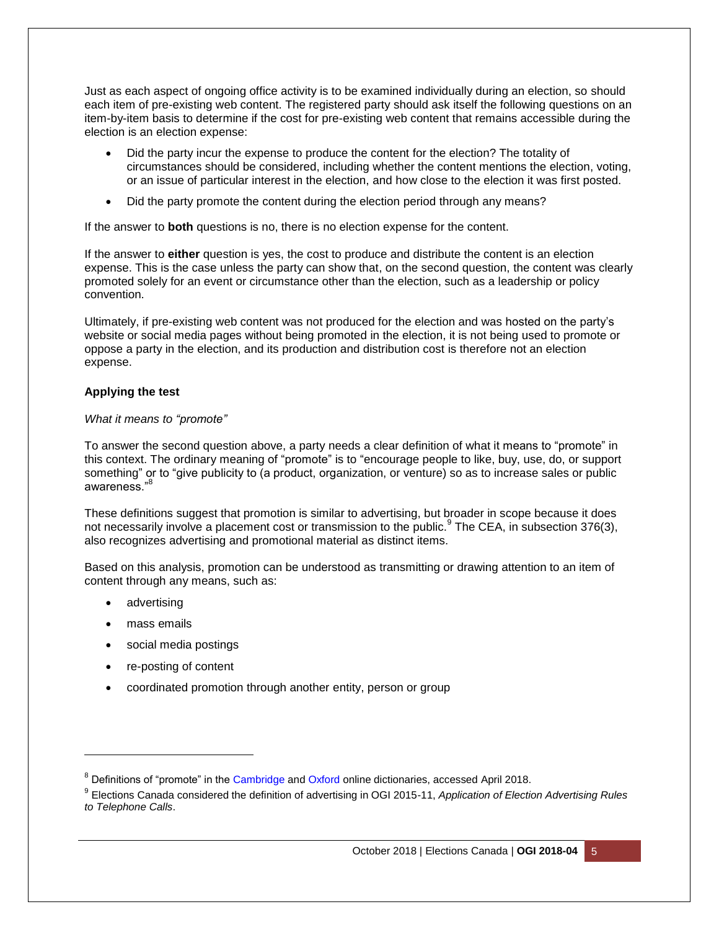Just as each aspect of ongoing office activity is to be examined individually during an election, so should each item of pre-existing web content. The registered party should ask itself the following questions on an item-by-item basis to determine if the cost for pre-existing web content that remains accessible during the election is an election expense:

- Did the party incur the expense to produce the content for the election? The totality of circumstances should be considered, including whether the content mentions the election, voting, or an issue of particular interest in the election, and how close to the election it was first posted.
- Did the party promote the content during the election period through any means?

If the answer to **both** questions is no, there is no election expense for the content.

If the answer to **either** question is yes, the cost to produce and distribute the content is an election expense. This is the case unless the party can show that, on the second question, the content was clearly promoted solely for an event or circumstance other than the election, such as a leadership or policy convention.

Ultimately, if pre-existing web content was not produced for the election and was hosted on the party's website or social media pages without being promoted in the election, it is not being used to promote or oppose a party in the election, and its production and distribution cost is therefore not an election expense.

## **Applying the test**

#### *What it means to "promote"*

To answer the second question above, a party needs a clear definition of what it means to "promote" in this context. The ordinary meaning of "promote" is to "encourage people to like, buy, use, do, or support something" or to "give publicity to (a product, organization, or venture) so as to increase sales or public awareness."

These definitions suggest that promotion is similar to advertising, but broader in scope because it does not necessarily involve a placement cost or transmission to the public.<sup>9</sup> The CEA, in subsection 376(3), also recognizes advertising and promotional material as distinct items.

Based on this analysis, promotion can be understood as transmitting or drawing attention to an item of content through any means, such as:

• advertising

l

- mass emails
- social media postings
- re-posting of content
- coordinated promotion through another entity, person or group

<sup>&</sup>lt;sup>8</sup> Definitions of "promote" in the [Cambridge](https://dictionary.cambridge.org/dictionary/english/promote) an[d Oxford](https://en.oxforddictionaries.com/definition/promote) online dictionaries, accessed April 2018.

<sup>9</sup> Elections Canada considered the definition of advertising in OGI 2015-11, *Application of Election Advertising Rules to Telephone Calls*.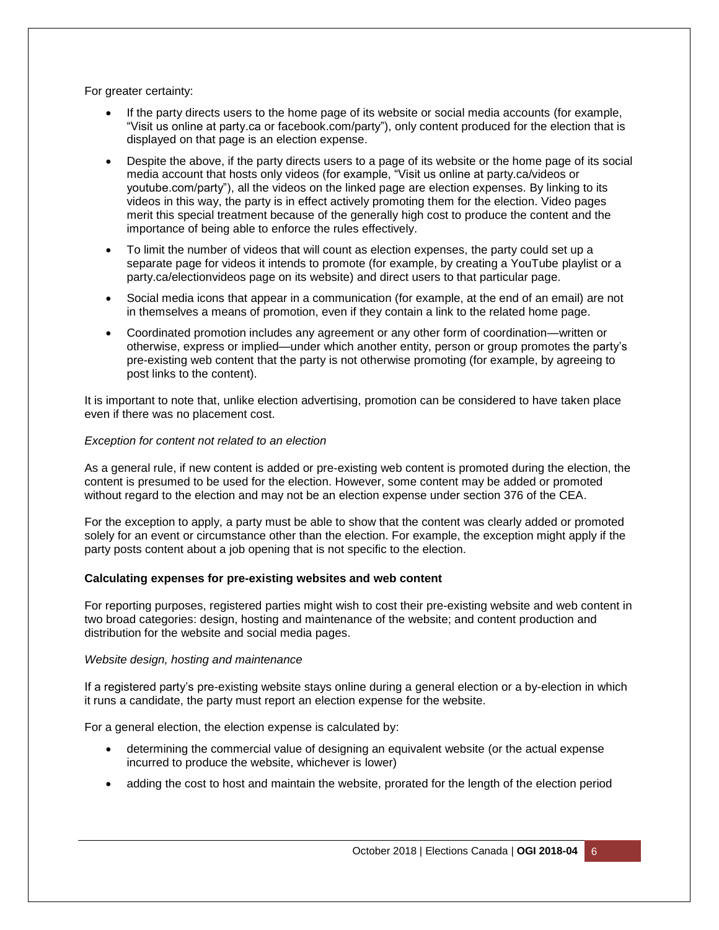For greater certainty:

- If the party directs users to the home page of its website or social media accounts (for example, "Visit us online at party.ca or facebook.com/party"), only content produced for the election that is displayed on that page is an election expense.
- Despite the above, if the party directs users to a page of its website or the home page of its social media account that hosts only videos (for example, "Visit us online at party.ca/videos or youtube.com/party"), all the videos on the linked page are election expenses. By linking to its videos in this way, the party is in effect actively promoting them for the election. Video pages merit this special treatment because of the generally high cost to produce the content and the importance of being able to enforce the rules effectively.
- To limit the number of videos that will count as election expenses, the party could set up a separate page for videos it intends to promote (for example, by creating a YouTube playlist or a party.ca/electionvideos page on its website) and direct users to that particular page.
- Social media icons that appear in a communication (for example, at the end of an email) are not in themselves a means of promotion, even if they contain a link to the related home page.
- Coordinated promotion includes any agreement or any other form of coordination—written or otherwise, express or implied—under which another entity, person or group promotes the party's pre-existing web content that the party is not otherwise promoting (for example, by agreeing to post links to the content).

It is important to note that, unlike election advertising, promotion can be considered to have taken place even if there was no placement cost.

## *Exception for content not related to an election*

As a general rule, if new content is added or pre-existing web content is promoted during the election, the content is presumed to be used for the election. However, some content may be added or promoted without regard to the election and may not be an election expense under section 376 of the CEA.

For the exception to apply, a party must be able to show that the content was clearly added or promoted solely for an event or circumstance other than the election. For example, the exception might apply if the party posts content about a job opening that is not specific to the election.

## **Calculating expenses for pre-existing websites and web content**

For reporting purposes, registered parties might wish to cost their pre-existing website and web content in two broad categories: design, hosting and maintenance of the website; and content production and distribution for the website and social media pages.

#### *Website design, hosting and maintenance*

If a registered party's pre-existing website stays online during a general election or a by-election in which it runs a candidate, the party must report an election expense for the website.

For a general election, the election expense is calculated by:

- determining the commercial value of designing an equivalent website (or the actual expense incurred to produce the website, whichever is lower)
- adding the cost to host and maintain the website, prorated for the length of the election period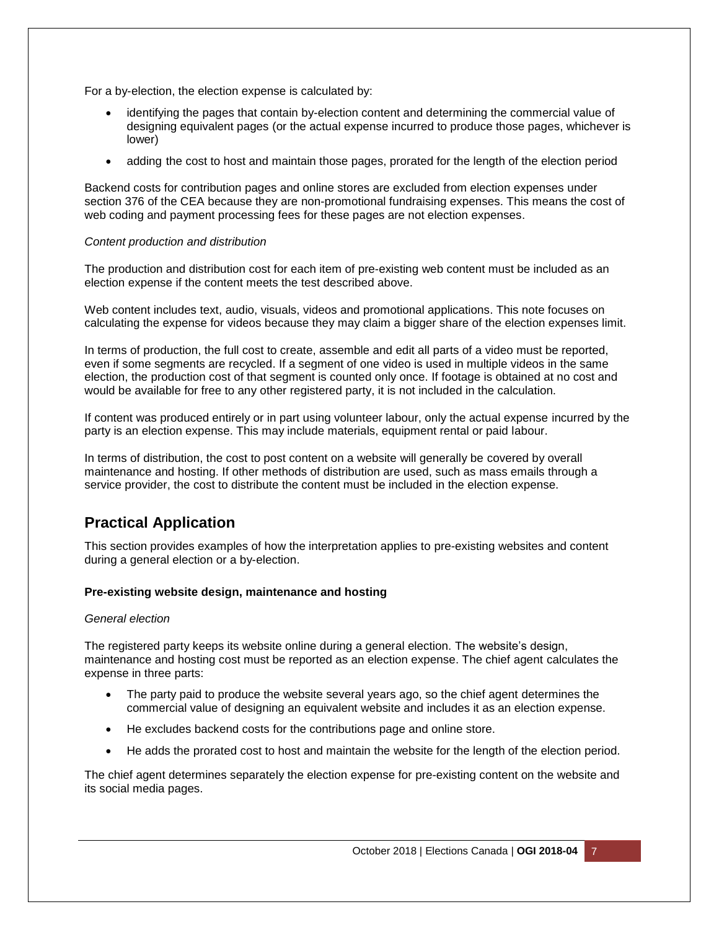For a by-election, the election expense is calculated by:

- identifying the pages that contain by-election content and determining the commercial value of designing equivalent pages (or the actual expense incurred to produce those pages, whichever is lower)
- adding the cost to host and maintain those pages, prorated for the length of the election period

Backend costs for contribution pages and online stores are excluded from election expenses under section 376 of the CEA because they are non-promotional fundraising expenses. This means the cost of web coding and payment processing fees for these pages are not election expenses.

#### *Content production and distribution*

The production and distribution cost for each item of pre-existing web content must be included as an election expense if the content meets the test described above.

Web content includes text, audio, visuals, videos and promotional applications. This note focuses on calculating the expense for videos because they may claim a bigger share of the election expenses limit.

In terms of production, the full cost to create, assemble and edit all parts of a video must be reported, even if some segments are recycled. If a segment of one video is used in multiple videos in the same election, the production cost of that segment is counted only once. If footage is obtained at no cost and would be available for free to any other registered party, it is not included in the calculation.

If content was produced entirely or in part using volunteer labour, only the actual expense incurred by the party is an election expense. This may include materials, equipment rental or paid labour.

In terms of distribution, the cost to post content on a website will generally be covered by overall maintenance and hosting. If other methods of distribution are used, such as mass emails through a service provider, the cost to distribute the content must be included in the election expense.

# **Practical Application**

This section provides examples of how the interpretation applies to pre-existing websites and content during a general election or a by-election.

#### **Pre-existing website design, maintenance and hosting**

#### *General election*

The registered party keeps its website online during a general election. The website's design, maintenance and hosting cost must be reported as an election expense. The chief agent calculates the expense in three parts:

- The party paid to produce the website several years ago, so the chief agent determines the commercial value of designing an equivalent website and includes it as an election expense.
- He excludes backend costs for the contributions page and online store.
- He adds the prorated cost to host and maintain the website for the length of the election period.

The chief agent determines separately the election expense for pre-existing content on the website and its social media pages.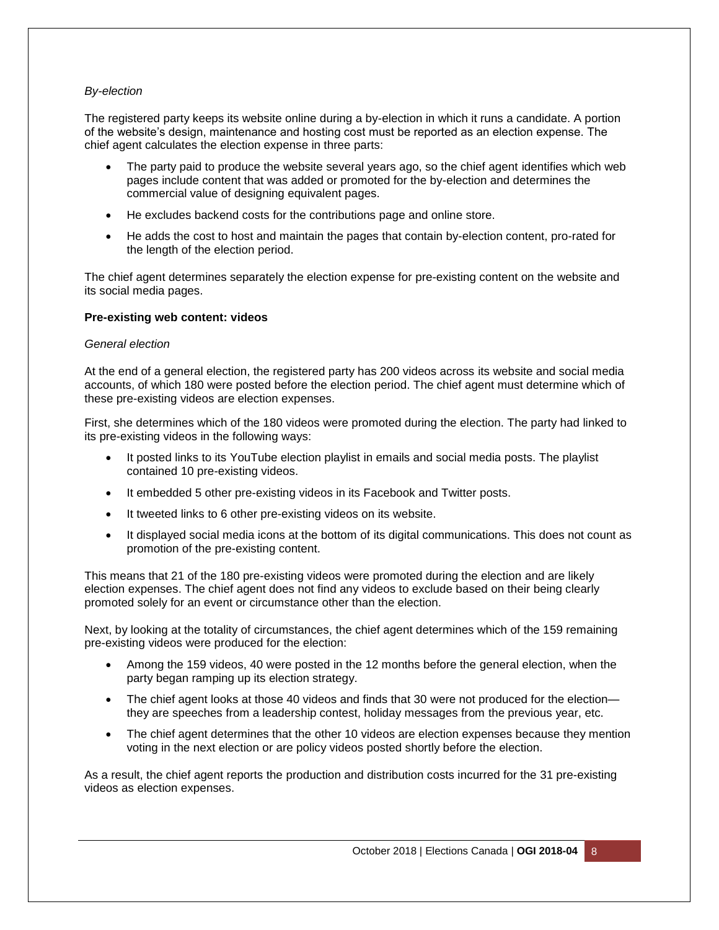## *By-election*

The registered party keeps its website online during a by-election in which it runs a candidate. A portion of the website's design, maintenance and hosting cost must be reported as an election expense. The chief agent calculates the election expense in three parts:

- The party paid to produce the website several years ago, so the chief agent identifies which web pages include content that was added or promoted for the by-election and determines the commercial value of designing equivalent pages.
- He excludes backend costs for the contributions page and online store.
- He adds the cost to host and maintain the pages that contain by-election content, pro-rated for the length of the election period.

The chief agent determines separately the election expense for pre-existing content on the website and its social media pages.

#### **Pre-existing web content: videos**

#### *General election*

At the end of a general election, the registered party has 200 videos across its website and social media accounts, of which 180 were posted before the election period. The chief agent must determine which of these pre-existing videos are election expenses.

First, she determines which of the 180 videos were promoted during the election. The party had linked to its pre-existing videos in the following ways:

- It posted links to its YouTube election playlist in emails and social media posts. The playlist contained 10 pre-existing videos.
- It embedded 5 other pre-existing videos in its Facebook and Twitter posts.
- It tweeted links to 6 other pre-existing videos on its website.
- It displayed social media icons at the bottom of its digital communications. This does not count as promotion of the pre-existing content.

This means that 21 of the 180 pre-existing videos were promoted during the election and are likely election expenses. The chief agent does not find any videos to exclude based on their being clearly promoted solely for an event or circumstance other than the election.

Next, by looking at the totality of circumstances, the chief agent determines which of the 159 remaining pre-existing videos were produced for the election:

- Among the 159 videos, 40 were posted in the 12 months before the general election, when the party began ramping up its election strategy.
- The chief agent looks at those 40 videos and finds that 30 were not produced for the election they are speeches from a leadership contest, holiday messages from the previous year, etc.
- The chief agent determines that the other 10 videos are election expenses because they mention voting in the next election or are policy videos posted shortly before the election.

As a result, the chief agent reports the production and distribution costs incurred for the 31 pre-existing videos as election expenses.